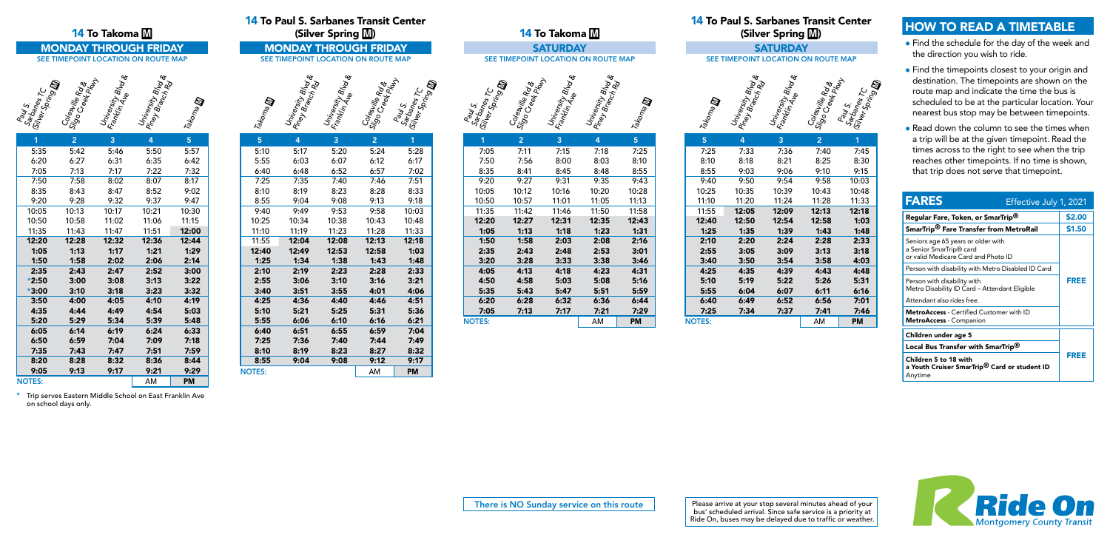





| 1             | $\overline{2}$ | 3     | 4     | 5     |
|---------------|----------------|-------|-------|-------|
| 5:35          | 5:42           | 5:46  | 5:50  | 5:57  |
| 6:20          | 6:27           | 6:31  | 6:35  | 6:42  |
| 7:05          | 7:13           | 7:17  | 7:22  | 7:32  |
| 7:50          | 7:58           | 8:02  | 8:07  | 8:17  |
| 8:35          | 8:43           | 8:47  | 8:52  | 9:02  |
| 9:20          | 9:28           | 9:32  | 9:37  | 9:47  |
| 10:05         | 10:13          | 10:17 | 10:21 | 10:30 |
| 10:50         | 10:58          | 11:02 | 11:06 | 11:15 |
| 11:35         | 11:43          | 11:47 | 11:51 | 12:00 |
| 12:20         | 12:28          | 12:32 | 12:36 | 12:44 |
| 1:05          | 1:13           | 1:17  | 1:21  | 1:29  |
| 1:50          | 1:58           | 2:02  | 2:06  | 2:14  |
| 2:35          | 2:43           | 2:47  | 2:52  | 3:00  |
| $*2:50$       | 3:00           | 3:08  | 3:13  | 3:22  |
| $*3:00$       | 3:10           | 3:18  | 3:23  | 3:32  |
| 3:50          | 4:00           | 4:05  | 4:10  | 4:19  |
| 4:35          | 4:44           | 4:49  | 4:54  | 5:03  |
| 5:20          | 5:29           | 5:34  | 5:39  | 5:48  |
| 6:05          | 6:14           | 6:19  | 6:24  | 6:33  |
| 6:50          | 6:59           | 7:04  | 7:09  | 7:18  |
| 7:35          | 7:43           | 7:47  | 7:51  | 7:59  |
| 8:20          | 8:28           | 8:32  | 8:36  | 8:44  |
| 9:05          | 9:13           | 9:17  | 9:21  | 9:29  |
| <b>NOTES:</b> |                |       | AM    | PM    |

14 To Paul S. Sarbanes Transit Center



| 5:55          | 6:03  | 6:07  | 6:12  | 6:17  |
|---------------|-------|-------|-------|-------|
| 6:40          | 6:48  | 6:52  | 6:57  | 7:02  |
| 7:25          | 7:35  | 7:40  | 7:46  | 7:51  |
| 8:10          | 8:19  | 8:23  | 8:28  | 8:33  |
| 8:55          | 9:04  | 9:08  | 9:13  | 9:18  |
| 9:40          | 9:49  | 9:53  | 9:58  | 10:03 |
| 10:25         | 10:34 | 10:38 | 10:43 | 10:48 |
| 11:10         | 11:19 | 11:23 | 11:28 | 11:33 |
| 11:55         | 12:04 | 12:08 | 12:13 | 12:18 |
| 12:40         | 12:49 | 12:53 | 12:58 | 1:03  |
| 1:25          | 1:34  | 1:38  | 1:43  | 1:48  |
| 2:10          | 2:19  | 2:23  | 2:28  | 2:33  |
| 2:55          | 3:06  | 3:10  | 3:16  | 3:21  |
| 3:40          | 3:51  | 3:55  | 4:01  | 4:06  |
| 4:25          | 4:36  | 4:40  | 4:46  | 4:51  |
| 5:10          | 5:21  | 5:25  | 5:31  | 5:36  |
| 5:55          | 6:06  | 6:10  | 6:16  | 6:21  |
| 6:40          | 6:51  | 6:55  | 6:59  | 7:04  |
| 7:25          | 7:36  | 7:40  | 7:44  | 7:49  |
| 8:10          | 8:19  | 8:23  | 8:27  | 8:32  |
| 8:55          | 9:04  | 9:08  | 9:12  | 9:17  |
| <b>NOTES:</b> |       |       | AM    | PM    |

|              |                                                 | 14 To Takoma M                             |                                         |                   |                   |                                       | <b>14 To Paul S. Sarbanes Transit Center</b><br>(Silver Spring M) |                                                 |                                                    |                              |                                 | 14 To Takoma <b>M</b> |                                        |                   |                   |                                      | <b>14 To Paul S. Sarbanes T</b> i<br>(Silver Spring |  |
|--------------|-------------------------------------------------|--------------------------------------------|-----------------------------------------|-------------------|-------------------|---------------------------------------|-------------------------------------------------------------------|-------------------------------------------------|----------------------------------------------------|------------------------------|---------------------------------|-----------------------|----------------------------------------|-------------------|-------------------|--------------------------------------|-----------------------------------------------------|--|
|              | <b>MONDAY THROUGH FRIDAY</b>                    |                                            |                                         |                   |                   |                                       | <b>MONDAY THROUGH FRIDAY</b>                                      |                                                 |                                                    |                              |                                 | <b>SATURDAY</b>       |                                        |                   |                   |                                      | <b>SATURDAY</b>                                     |  |
|              | SEE TIMEPOINT LOCATION ON ROUTE MAP             |                                            |                                         |                   |                   |                                       | SEE TIMEPOINT LOCATION ON ROUTE MAP                               |                                                 |                                                    |                              |                                 |                       | SEE TIMEPOINT LOCATION ON ROUTE MAP    |                   |                   |                                      | SEE TIMEPOINT LOCATION OF                           |  |
| onler Spring | Colesville Rd<br>Sigo Creek Rd<br>Sigo Creek Rd | University<br>Fankin Alve <sup>Nod</sup> e | University Blud &<br>Piney Brity Blud & | Takoma <b>lly</b> | Takoma <b>lli</b> | University Blue<br>Piney Britishing & | University Blvd &                                                 | Colestrile Ry<br>Sigo Creek Ry<br>Sigo Creek Ry | Paul S.<br>Sarbanes T.<br>Silver Spring <b>III</b> | Sartoanes<br>Gilver Sprin TC | Coleswile Ry<br>Sigo Creek Ry & | University Blvd &     | University Blud &<br>Piney Branch Cy & | Takoma <b>lly</b> | Takoma <b>lli</b> | University Blud &<br>Piney Branch Ca | University Blvd &                                   |  |
|              | 2 <sup>2</sup>                                  | 3 <sup>°</sup>                             | $\overline{4}$                          | 5 <sub>5</sub>    | 5 <sup>5</sup>    | $\overline{4}$                        | 3 <sup>1</sup>                                                    | $\overline{2}$                                  |                                                    |                              | 2 <sup>1</sup>                  | $\overline{3}$        | $\overline{4}$                         | 5 <sup>1</sup>    | 5 <sup>1</sup>    | $\overline{4}$                       | $\overline{3}$                                      |  |
| :35          | 5:42                                            | 5:46                                       | 5:50                                    | 5:57              | 5:10              | 5:17                                  | 5:20                                                              | 5:24                                            | 5:28                                               | 7:05                         | 7:11                            | 7:15                  | 7:18                                   | 7:25              | 7:25              | 7:33                                 | 7:36                                                |  |
| :20          | 6:27                                            | 6:31                                       | 6:35                                    | 6:42              | 5:55              | 6:03                                  | 6:07                                                              | 6:12                                            | 6:17                                               | 7:50                         | 7:56                            | 8:00                  | 8:03                                   | 8:10              | 8:10              | 8:18                                 | 8:21                                                |  |
| :05          | 7:13                                            | 7:17                                       | 7:22                                    | 7:32              | 6:40              | 6:48                                  | 6:52                                                              | 6:57                                            | 7:02                                               | 8:35                         | 8:41                            | 8:45                  | 8:48                                   | 8:55              | 8:55              | 9:03                                 | 9:06                                                |  |
| :50          | 7:58                                            | 8:02                                       | 8:07                                    | 8:17              | 7:25              | 7:35                                  | 7:40                                                              | 7:46                                            | 7:51                                               | 9:20                         | 9:27                            | 9:31                  | 9:35                                   | 9:43              | 9:40              | 9:50                                 | 9:54                                                |  |
| :35          | 8:43                                            | 8:47                                       | 8:52                                    | 9:02              | 8:10              | 8:19                                  | 8:23                                                              | 8:28                                            | 8:33                                               | 10:05                        | 10:12                           | 10:16                 | 10:20                                  | 10:28             | 10:25             | 10:35                                | 10:39                                               |  |
| :20          | 9:28                                            | 9:32                                       | 9:37                                    | 9:47              | 8:55              | 9:04                                  | 9:08                                                              | 9:13                                            | 9:18                                               | 10:50                        | 10:57                           | 11:01                 | 11:05                                  | 11:13             | 11:10             | 11:20                                | 11:24                                               |  |
| :05          | 10:13                                           | 10:17                                      | 10:21                                   | 10:30             | 9:40              | 9:49                                  | 9:53                                                              | 9:58                                            | 10:03                                              | 11:35                        | 11:42                           | 11:46                 | 11:50                                  | 11:58             | 11:55             | 12:05                                | 12:09                                               |  |
| :50          | 10:58                                           | 11:02                                      | 11:06                                   | 11:15             | 10:25             | 10:34                                 | 10:38                                                             | 10:43                                           | 10:48                                              | 12:20                        | 12:27                           | 12:31                 | 12:35                                  | 12:43             | 12:40             | 12:50                                | 12:54                                               |  |
| :35          | 11:43                                           | 11:47                                      | 11:51                                   | 12:00             | 11:10             | 11:19                                 | 11:23                                                             | 11:28                                           | 11:33                                              | 1:05                         | 1:13                            | 1:18                  | 1:23                                   | 1:31              | 1:25              | 1:35                                 | 1:39                                                |  |
| :20          | 12:28                                           | 12:32                                      | 12:36                                   | 12:44             | 11:55             | 12:04                                 | 12:08                                                             | 12:13                                           | 12:18                                              | 1:50                         | 1:58                            | 2:03                  | 2:08                                   | 2:16              | 2:10              | 2:20                                 | 2:24                                                |  |
| :05          | 1:13                                            | 1:17                                       | 1:21                                    | 1:29              | 12:40             | 12:49                                 | 12:53                                                             | 12:58                                           | 1:03                                               | 2:35                         | 2:43                            | 2:48                  | 2:53                                   | 3:01              | 2:55              | 3:05                                 | 3:09                                                |  |
| :50          | 1:58                                            | 2:02                                       | 2:06                                    | 2:14              | 1:25              | 1:34                                  | 1:38                                                              | 1:43                                            | 1:48                                               | 3:20                         | 3:28                            | 3:33                  | 3:38                                   | 3:46              | 3:40              | 3:50                                 | 3:54                                                |  |
| :35          | 2:43                                            | 2:47                                       | 2:52                                    | 3:00              | 2:10              | 2:19                                  | 2:23                                                              | 2:28                                            | 2:33                                               | 4:05                         | 4:13                            | 4:18                  | 4:23                                   | 4:31              | 4:25              | 4:35                                 | 4:39                                                |  |
| :50          | 3:00                                            | 3:08                                       | 3:13                                    | 3:22              | 2:55              | 3:06                                  | 3:10                                                              | 3:16                                            | 3:21                                               | 4:50                         | 4:58                            | 5:03                  | 5:08                                   | 5:16              | 5:10              | 5:19                                 | 5:22                                                |  |
| :00          | 3:10                                            | 3:18                                       | 3:23                                    | 3:32              | 3:40              | 3:51                                  | 3:55                                                              | 4:01                                            | 4:06                                               | 5:35                         | 5:43                            | 5:47                  | 5:51                                   | 5:59              | 5:55              | 6:04                                 | 6:07                                                |  |
| :50          | 4:00                                            | 4:05                                       | 4:10                                    | 4:19              | 4:25              | 4:36                                  | 4:40                                                              | 4:46                                            | 4:51                                               | 6:20                         | 6:28                            | 6:32                  | 6:36                                   | 6:44              | 6:40              | 6:49                                 | 6:52                                                |  |
| :35          | 4:44                                            | 4:49                                       | 4:54                                    | 5:03              | 5:10              | 5:21                                  | 5:25                                                              | 5:31                                            | 5:36                                               | 7:05                         | 7:13                            | 7:17                  | 7:21                                   | 7:29              | 7:25              | 7:34                                 | 7:37                                                |  |
| :20          | 5:29                                            | 5:34                                       | 5:39                                    | 5:48              | 5:55              | 6:06                                  | 6:10                                                              | 6:16                                            | 6:21                                               | <b>NOTES:</b>                |                                 |                       | AM                                     | <b>PM</b>         | <b>NOTES:</b>     |                                      |                                                     |  |

#### Paul S. Sarbanes Transit Center (Silver Spring **)**

# TIMEPOINT LOCATION ON ROUTE MAP

| 5             | 4     | 3     | 2     | 1     |
|---------------|-------|-------|-------|-------|
| 7:25          | 7:33  | 7:36  | 7:40  | 7:45  |
| 8:10          | 8:18  | 8:21  | 8:25  | 8:30  |
| 8:55          | 9:03  | 9:06  | 9:10  | 9:15  |
| 9:40          | 9:50  | 9:54  | 9:58  | 10:03 |
| 10:25         | 10:35 | 10:39 | 10:43 | 10:48 |
| 11:10         | 11:20 | 11:24 | 11:28 | 11:33 |
| 11:55         | 12:05 | 12:09 | 12:13 | 12:18 |
| 12:40         | 12:50 | 12:54 | 12:58 | 1:03  |
| 1:25          | 1:35  | 1:39  | 1:43  | 1:48  |
| 2:10          | 2:20  | 2:24  | 2:28  | 2:33  |
| 2:55          | 3:05  | 3:09  | 3:13  | 3:18  |
| 3:40          | 3:50  | 3:54  | 3:58  | 4:03  |
| 4:25          | 4:35  | 4:39  | 4:43  | 4:48  |
| 5:10          | 5:19  | 5:22  | 5:26  | 5:31  |
| 5:55          | 6:04  | 6:07  | 6:11  | 6:16  |
| 6:40          | 6:49  | 6:52  | 6:56  | 7:01  |
| 7:25          | 7:34  | 7:37  | 7:41  | 7:46  |
| <b>NOTES:</b> |       |       | AM    | PM    |

\* Trip serves Eastern Middle School on East Franklin Ave on school days only.

# HOW TO READ A TIMETABLE

- Find the schedule for the day of the week and the direction you wish to ride.
- Find the timepoints closest to your origin and destination. The timepoints are shown on the route map and indicate the time the bus is scheduled to be at the particular location. Your nearest bus stop may be between timepoints.
- Read down the column to see the times when a trip will be at the given timepoint. Read the times across to the right to see when the trip reaches other timepoints. If no time is shown, that trip does not serve that timepoint.

| <b>FARES</b><br>Effective July 1, 2021                                                               |        |
|------------------------------------------------------------------------------------------------------|--------|
| Regular Fare, Token, or SmarTrip <sup>®</sup>                                                        | \$2.00 |
| SmarTrip <sup>®</sup> Fare Transfer from MetroRail                                                   | \$1.50 |
| Seniors age 65 years or older with<br>a Senior SmarTrip® card<br>or valid Medicare Card and Photo ID |        |
| Person with disability with Metro Disabled ID Card                                                   |        |
| Person with disability with<br>Metro Disability ID Card – Attendant Eligible                         | FREE   |
| Attendant also rides free.                                                                           |        |
| <b>MetroAccess</b> - Certified Customer with ID<br><b>MetroAccess</b> - Companion                    |        |
| Children under age 5                                                                                 |        |
| Local Bus Transfer with SmarTrip <sup>®</sup>                                                        |        |
| Children 5 to 18 with<br>a Youth Cruiser SmarTrip <sup>®</sup> Card or student ID<br>Anytime         | FREE   |